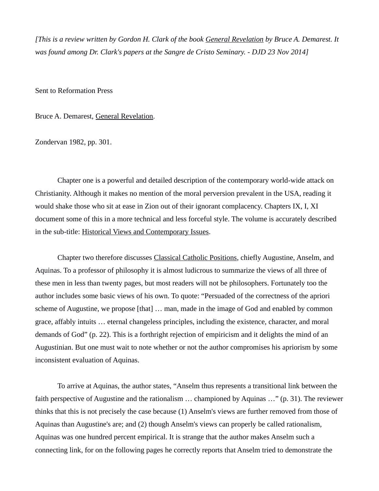*[This is a review written by Gordon H. Clark of the book General Revelation by Bruce A. Demarest. It was found among Dr. Clark's papers at the Sangre de Cristo Seminary. - DJD 23 Nov 2014]*

Sent to Reformation Press

Bruce A. Demarest, General Revelation.

Zondervan 1982, pp. 301.

Chapter one is a powerful and detailed description of the contemporary world-wide attack on Christianity. Although it makes no mention of the moral perversion prevalent in the USA, reading it would shake those who sit at ease in Zion out of their ignorant complacency. Chapters IX, I, XI document some of this in a more technical and less forceful style. The volume is accurately described in the sub-title: Historical Views and Contemporary Issues.

Chapter two therefore discusses Classical Catholic Positions, chiefly Augustine, Anselm, and Aquinas. To a professor of philosophy it is almost ludicrous to summarize the views of all three of these men in less than twenty pages, but most readers will not be philosophers. Fortunately too the author includes some basic views of his own. To quote: "Persuaded of the correctness of the apriori scheme of Augustine, we propose [that] ... man, made in the image of God and enabled by common grace, affably intuits … eternal changeless principles, including the existence, character, and moral demands of God" (p. 22). This is a forthright rejection of empiricism and it delights the mind of an Augustinian. But one must wait to note whether or not the author compromises his apriorism by some inconsistent evaluation of Aquinas.

To arrive at Aquinas, the author states, "Anselm thus represents a transitional link between the faith perspective of Augustine and the rationalism … championed by Aquinas …" (p. 31). The reviewer thinks that this is not precisely the case because (1) Anselm's views are further removed from those of Aquinas than Augustine's are; and (2) though Anselm's views can properly be called rationalism, Aquinas was one hundred percent empirical. It is strange that the author makes Anselm such a connecting link, for on the following pages he correctly reports that Anselm tried to demonstrate the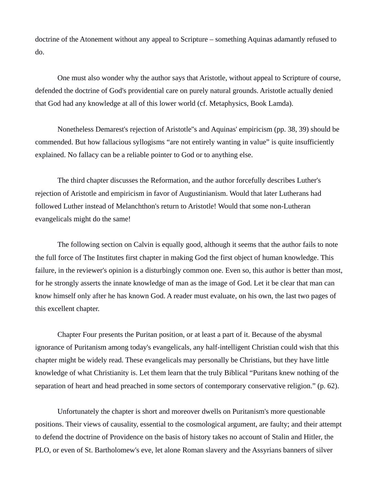doctrine of the Atonement without any appeal to Scripture – something Aquinas adamantly refused to do.

One must also wonder why the author says that Aristotle, without appeal to Scripture of course, defended the doctrine of God's providential care on purely natural grounds. Aristotle actually denied that God had any knowledge at all of this lower world (cf. Metaphysics, Book Lamda).

Nonetheless Demarest's rejection of Aristotle''s and Aquinas' empiricism (pp. 38, 39) should be commended. But how fallacious syllogisms "are not entirely wanting in value" is quite insufficiently explained. No fallacy can be a reliable pointer to God or to anything else.

The third chapter discusses the Reformation, and the author forcefully describes Luther's rejection of Aristotle and empiricism in favor of Augustinianism. Would that later Lutherans had followed Luther instead of Melanchthon's return to Aristotle! Would that some non-Lutheran evangelicals might do the same!

The following section on Calvin is equally good, although it seems that the author fails to note the full force of The Institutes first chapter in making God the first object of human knowledge. This failure, in the reviewer's opinion is a disturbingly common one. Even so, this author is better than most, for he strongly asserts the innate knowledge of man as the image of God. Let it be clear that man can know himself only after he has known God. A reader must evaluate, on his own, the last two pages of this excellent chapter.

Chapter Four presents the Puritan position, or at least a part of it. Because of the abysmal ignorance of Puritanism among today's evangelicals, any half-intelligent Christian could wish that this chapter might be widely read. These evangelicals may personally be Christians, but they have little knowledge of what Christianity is. Let them learn that the truly Biblical "Puritans knew nothing of the separation of heart and head preached in some sectors of contemporary conservative religion." (p. 62).

Unfortunately the chapter is short and moreover dwells on Puritanism's more questionable positions. Their views of causality, essential to the cosmological argument, are faulty; and their attempt to defend the doctrine of Providence on the basis of history takes no account of Stalin and Hitler, the PLO, or even of St. Bartholomew's eve, let alone Roman slavery and the Assyrians banners of silver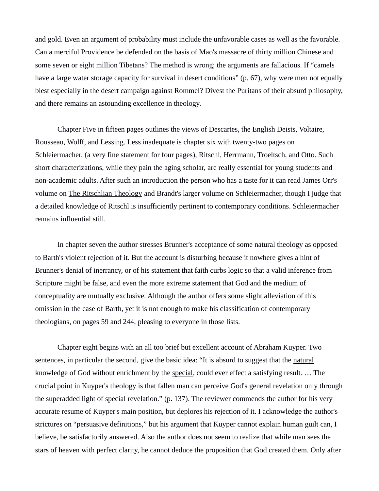and gold. Even an argument of probability must include the unfavorable cases as well as the favorable. Can a merciful Providence be defended on the basis of Mao's massacre of thirty million Chinese and some seven or eight million Tibetans? The method is wrong; the arguments are fallacious. If "camels have a large water storage capacity for survival in desert conditions" (p. 67), why were men not equally blest especially in the desert campaign against Rommel? Divest the Puritans of their absurd philosophy, and there remains an astounding excellence in theology.

Chapter Five in fifteen pages outlines the views of Descartes, the English Deists, Voltaire, Rousseau, Wolff, and Lessing. Less inadequate is chapter six with twenty-two pages on Schleiermacher, (a very fine statement for four pages), Ritschl, Herrmann, Troeltsch, and Otto. Such short characterizations, while they pain the aging scholar, are really essential for young students and non-academic adults. After such an introduction the person who has a taste for it can read James Orr's volume on The Ritschlian Theology and Brandt's larger volume on Schleiermacher, though I judge that a detailed knowledge of Ritschl is insufficiently pertinent to contemporary conditions. Schleiermacher remains influential still.

In chapter seven the author stresses Brunner's acceptance of some natural theology as opposed to Barth's violent rejection of it. But the account is disturbing because it nowhere gives a hint of Brunner's denial of inerrancy, or of his statement that faith curbs logic so that a valid inference from Scripture might be false, and even the more extreme statement that God and the medium of conceptuality are mutually exclusive. Although the author offers some slight alleviation of this omission in the case of Barth, yet it is not enough to make his classification of contemporary theologians, on pages 59 and 244, pleasing to everyone in those lists.

Chapter eight begins with an all too brief but excellent account of Abraham Kuyper. Two sentences, in particular the second, give the basic idea: "It is absurd to suggest that the natural knowledge of God without enrichment by the special, could ever effect a satisfying result. ... The crucial point in Kuyper's theology is that fallen man can perceive God's general revelation only through the superadded light of special revelation." (p. 137). The reviewer commends the author for his very accurate resume of Kuyper's main position, but deplores his rejection of it. I acknowledge the author's strictures on "persuasive definitions," but his argument that Kuyper cannot explain human guilt can, I believe, be satisfactorily answered. Also the author does not seem to realize that while man sees the stars of heaven with perfect clarity, he cannot deduce the proposition that God created them. Only after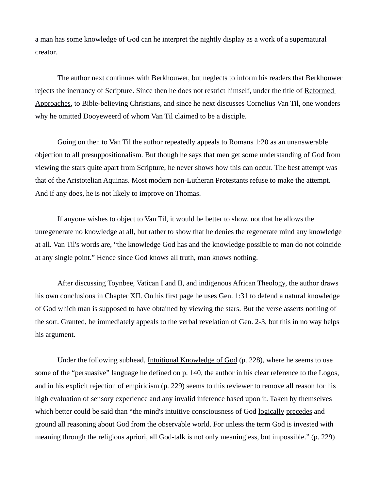a man has some knowledge of God can he interpret the nightly display as a work of a supernatural creator.

The author next continues with Berkhouwer, but neglects to inform his readers that Berkhouwer rejects the inerrancy of Scripture. Since then he does not restrict himself, under the title of Reformed Approaches, to Bible-believing Christians, and since he next discusses Cornelius Van Til, one wonders why he omitted Dooyeweerd of whom Van Til claimed to be a disciple.

Going on then to Van Til the author repeatedly appeals to Romans 1:20 as an unanswerable objection to all presuppositionalism. But though he says that men get some understanding of God from viewing the stars quite apart from Scripture, he never shows how this can occur. The best attempt was that of the Aristotelian Aquinas. Most modern non-Lutheran Protestants refuse to make the attempt. And if any does, he is not likely to improve on Thomas.

If anyone wishes to object to Van Til, it would be better to show, not that he allows the unregenerate no knowledge at all, but rather to show that he denies the regenerate mind any knowledge at all. Van Til's words are, "the knowledge God has and the knowledge possible to man do not coincide at any single point." Hence since God knows all truth, man knows nothing.

After discussing Toynbee, Vatican I and II, and indigenous African Theology, the author draws his own conclusions in Chapter XII. On his first page he uses Gen. 1:31 to defend a natural knowledge of God which man is supposed to have obtained by viewing the stars. But the verse asserts nothing of the sort. Granted, he immediately appeals to the verbal revelation of Gen. 2-3, but this in no way helps his argument.

Under the following subhead, Intuitional Knowledge of God (p. 228), where he seems to use some of the "persuasive" language he defined on p. 140, the author in his clear reference to the Logos, and in his explicit rejection of empiricism (p. 229) seems to this reviewer to remove all reason for his high evaluation of sensory experience and any invalid inference based upon it. Taken by themselves which better could be said than "the mind's intuitive consciousness of God logically precedes and ground all reasoning about God from the observable world. For unless the term God is invested with meaning through the religious apriori, all God-talk is not only meaningless, but impossible." (p. 229)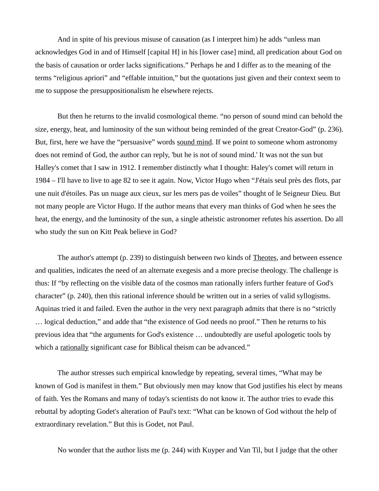And in spite of his previous misuse of causation (as I interpret him) he adds "unless man acknowledges God in and of Himself [capital H] in his [lower case] mind, all predication about God on the basis of causation or order lacks significations." Perhaps he and I differ as to the meaning of the terms "religious apriori" and "effable intuition," but the quotations just given and their context seem to me to suppose the presuppositionalism he elsewhere rejects.

But then he returns to the invalid cosmological theme. "no person of sound mind can behold the size, energy, heat, and luminosity of the sun without being reminded of the great Creator-God" (p. 236). But, first, here we have the "persuasive" words sound mind. If we point to someone whom astronomy does not remind of God, the author can reply, 'but he is not of sound mind.' It was not the sun but Halley's comet that I saw in 1912. I remember distinctly what I thought: Haley's comet will return in 1984 – I'll have to live to age 82 to see it again. Now, Victor Hugo when "J'étais seul près des flots, par une nuit d'étoiles. Pas un nuage aux cieux, sur les mers pas de voiles" thought of le Seigneur Dieu. But not many people are Victor Hugo. If the author means that every man thinks of God when he sees the heat, the energy, and the luminosity of the sun, a single atheistic astronomer refutes his assertion. Do all who study the sun on Kitt Peak believe in God?

The author's attempt (p. 239) to distinguish between two kinds of Theotes, and between essence and qualities, indicates the need of an alternate exegesis and a more precise theology. The challenge is thus: If "by reflecting on the visible data of the cosmos man rationally infers further feature of God's character" (p. 240), then this rational inference should be written out in a series of valid syllogisms. Aquinas tried it and failed. Even the author in the very next paragraph admits that there is no "strictly … logical deduction," and adde that "the existence of God needs no proof." Then he returns to his previous idea that "the arguments for God's existence … undoubtedly are useful apologetic tools by which a rationally significant case for Biblical theism can be advanced."

The author stresses such empirical knowledge by repeating, several times, "What may be known of God is manifest in them." But obviously men may know that God justifies his elect by means of faith. Yes the Romans and many of today's scientists do not know it. The author tries to evade this rebuttal by adopting Godet's alteration of Paul's text: "What can be known of God without the help of extraordinary revelation." But this is Godet, not Paul.

No wonder that the author lists me (p. 244) with Kuyper and Van Til, but I judge that the other